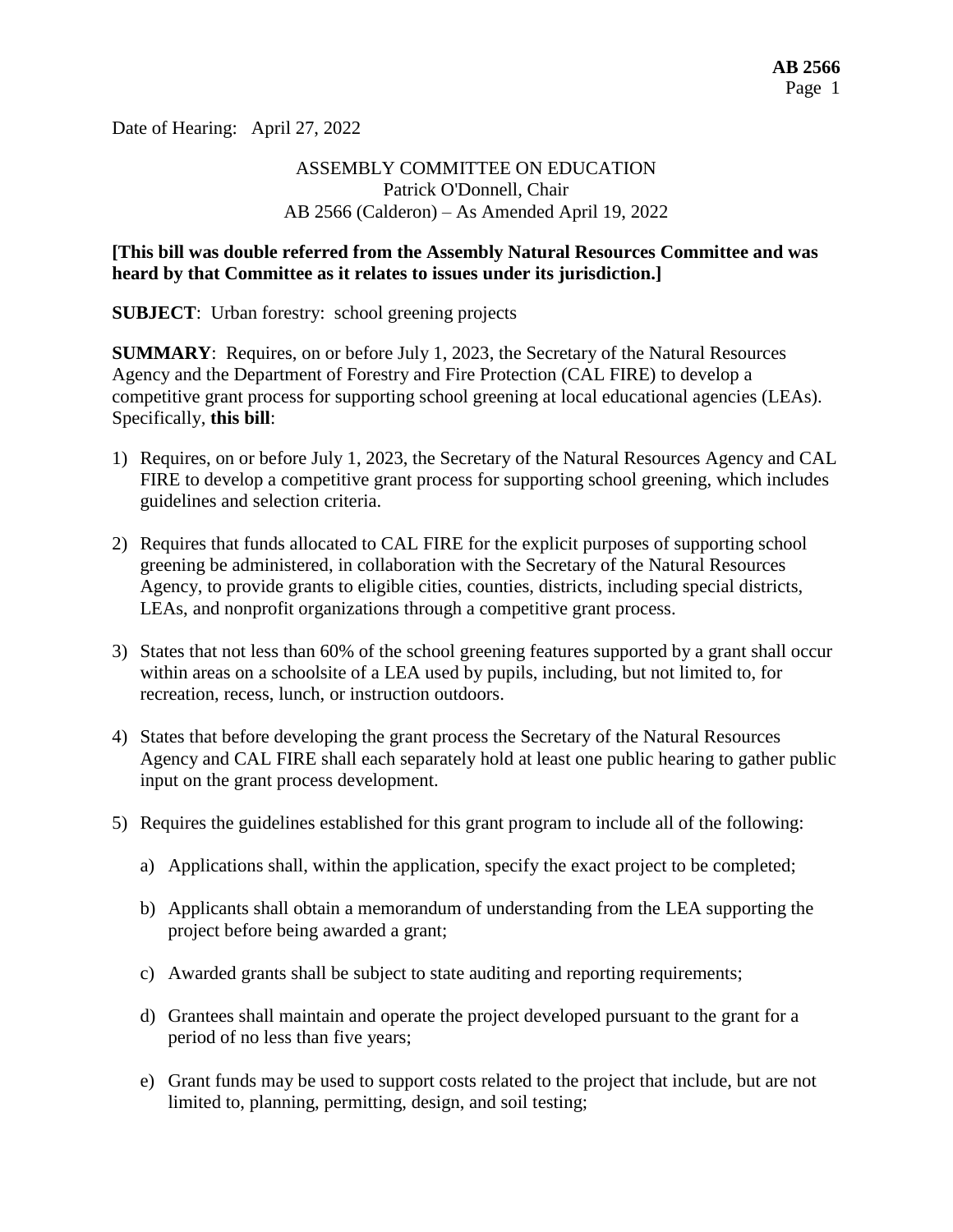Date of Hearing: April 27, 2022

# ASSEMBLY COMMITTEE ON EDUCATION Patrick O'Donnell, Chair AB 2566 (Calderon) – As Amended April 19, 2022

#### **[This bill was double referred from the Assembly Natural Resources Committee and was heard by that Committee as it relates to issues under its jurisdiction.]**

**SUBJECT**: Urban forestry: school greening projects

**SUMMARY**: Requires, on or before July 1, 2023, the Secretary of the Natural Resources Agency and the Department of Forestry and Fire Protection (CAL FIRE) to develop a competitive grant process for supporting school greening at local educational agencies (LEAs). Specifically, **this bill**:

- 1) Requires, on or before July 1, 2023, the Secretary of the Natural Resources Agency and CAL FIRE to develop a competitive grant process for supporting school greening, which includes guidelines and selection criteria.
- 2) Requires that funds allocated to CAL FIRE for the explicit purposes of supporting school greening be administered, in collaboration with the Secretary of the Natural Resources Agency, to provide grants to eligible cities, counties, districts, including special districts, LEAs, and nonprofit organizations through a competitive grant process.
- 3) States that not less than 60% of the school greening features supported by a grant shall occur within areas on a schoolsite of a LEA used by pupils, including, but not limited to, for recreation, recess, lunch, or instruction outdoors.
- 4) States that before developing the grant process the Secretary of the Natural Resources Agency and CAL FIRE shall each separately hold at least one public hearing to gather public input on the grant process development.
- 5) Requires the guidelines established for this grant program to include all of the following:
	- a) Applications shall, within the application, specify the exact project to be completed;
	- b) Applicants shall obtain a memorandum of understanding from the LEA supporting the project before being awarded a grant;
	- c) Awarded grants shall be subject to state auditing and reporting requirements;
	- d) Grantees shall maintain and operate the project developed pursuant to the grant for a period of no less than five years;
	- e) Grant funds may be used to support costs related to the project that include, but are not limited to, planning, permitting, design, and soil testing;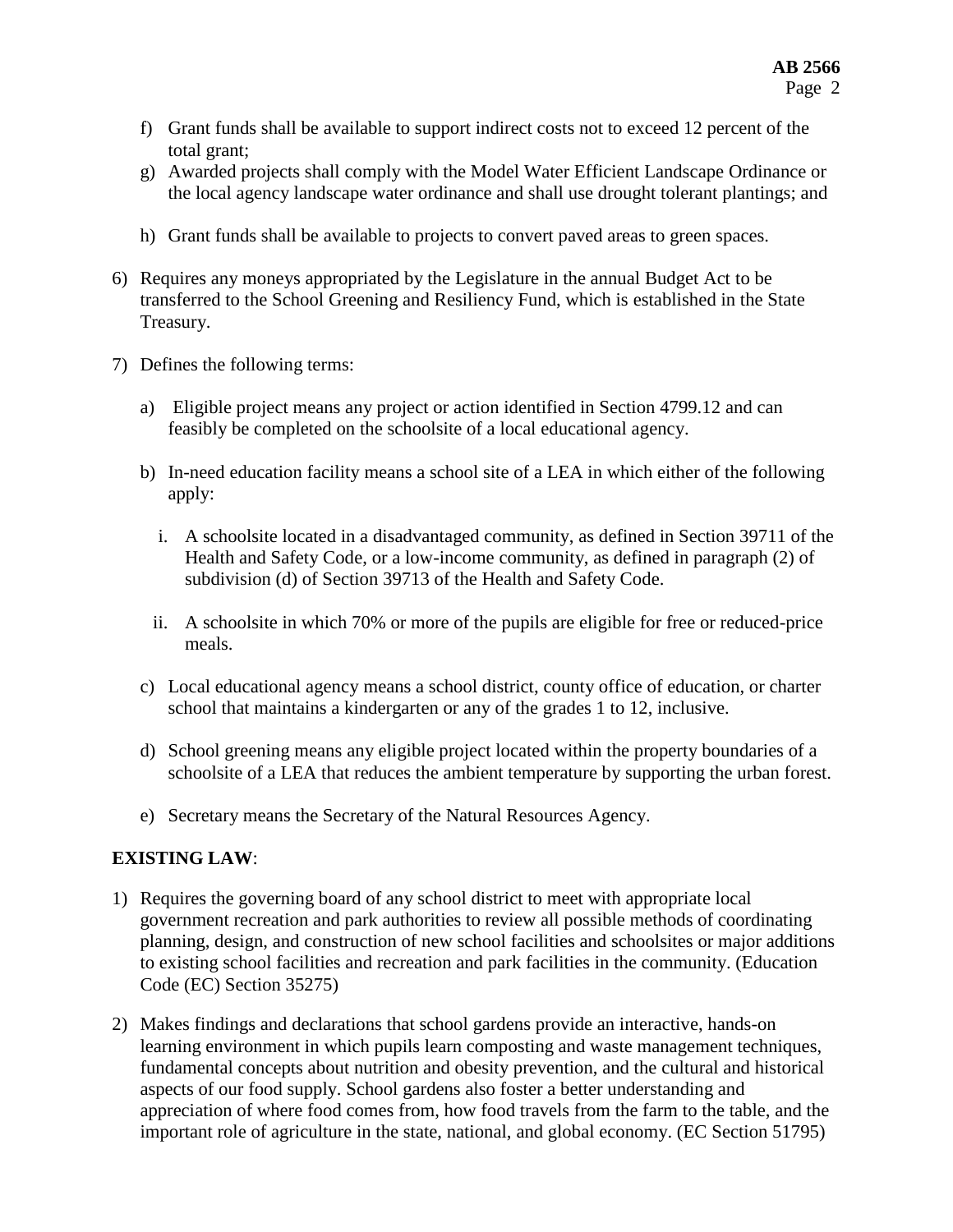- f) Grant funds shall be available to support indirect costs not to exceed 12 percent of the total grant;
- g) Awarded projects shall comply with the Model Water Efficient Landscape Ordinance or the local agency landscape water ordinance and shall use drought tolerant plantings; and
- h) Grant funds shall be available to projects to convert paved areas to green spaces.
- 6) Requires any moneys appropriated by the Legislature in the annual Budget Act to be transferred to the School Greening and Resiliency Fund, which is established in the State Treasury.
- 7) Defines the following terms:
	- a) Eligible project means any project or action identified in Section 4799.12 and can feasibly be completed on the schoolsite of a local educational agency.
	- b) In-need education facility means a school site of a LEA in which either of the following apply:
		- i. A schoolsite located in a disadvantaged community, as defined in Section 39711 of the Health and Safety Code, or a low-income community, as defined in paragraph (2) of subdivision (d) of Section 39713 of the Health and Safety Code.
		- ii. A schoolsite in which 70% or more of the pupils are eligible for free or reduced-price meals.
	- c) Local educational agency means a school district, county office of education, or charter school that maintains a kindergarten or any of the grades 1 to 12, inclusive.
	- d) School greening means any eligible project located within the property boundaries of a schoolsite of a LEA that reduces the ambient temperature by supporting the urban forest.
	- e) Secretary means the Secretary of the Natural Resources Agency.

#### **EXISTING LAW**:

- 1) Requires the governing board of any school district to meet with appropriate local government recreation and park authorities to review all possible methods of coordinating planning, design, and construction of new school facilities and schoolsites or major additions to existing school facilities and recreation and park facilities in the community. (Education Code (EC) Section 35275)
- 2) Makes findings and declarations that school gardens provide an interactive, hands-on learning environment in which pupils learn composting and waste management techniques, fundamental concepts about nutrition and obesity prevention, and the cultural and historical aspects of our food supply. School gardens also foster a better understanding and appreciation of where food comes from, how food travels from the farm to the table, and the important role of agriculture in the state, national, and global economy. (EC Section 51795)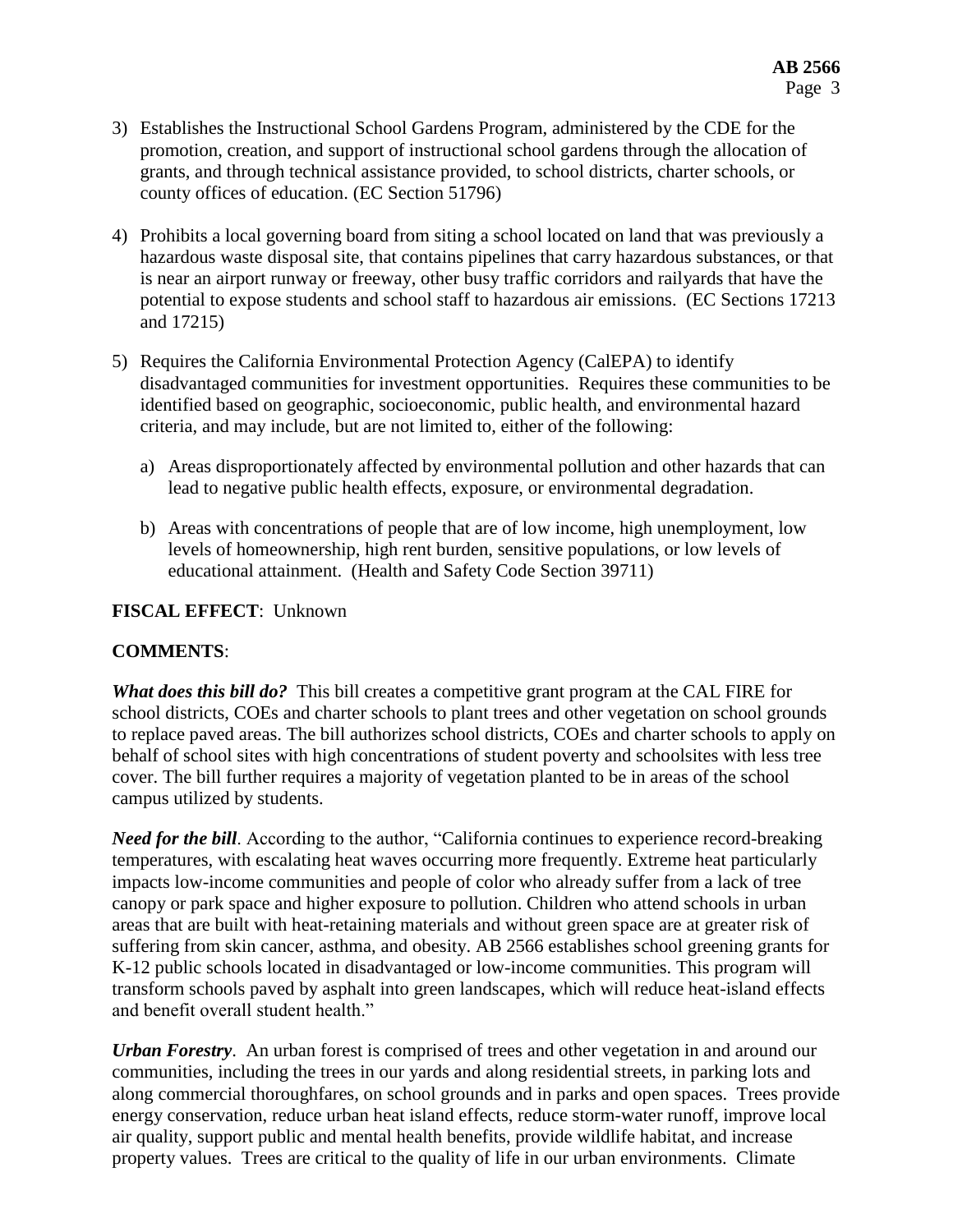- 3) Establishes the Instructional School Gardens Program, administered by the CDE for the promotion, creation, and support of instructional school gardens through the allocation of grants, and through technical assistance provided, to school districts, charter schools, or county offices of education. (EC Section 51796)
- 4) Prohibits a local governing board from siting a school located on land that was previously a hazardous waste disposal site, that contains pipelines that carry hazardous substances, or that is near an airport runway or freeway, other busy traffic corridors and railyards that have the potential to expose students and school staff to hazardous air emissions. (EC Sections 17213 and 17215)
- 5) Requires the California Environmental Protection Agency (CalEPA) to identify disadvantaged communities for investment opportunities. Requires these communities to be identified based on geographic, socioeconomic, public health, and environmental hazard criteria, and may include, but are not limited to, either of the following:
	- a) Areas disproportionately affected by environmental pollution and other hazards that can lead to negative public health effects, exposure, or environmental degradation.
	- b) Areas with concentrations of people that are of low income, high unemployment, low levels of homeownership, high rent burden, sensitive populations, or low levels of educational attainment. (Health and Safety Code Section 39711)

#### **FISCAL EFFECT**: Unknown

#### **COMMENTS**:

*What does this bill do?* This bill creates a competitive grant program at the CAL FIRE for school districts, COEs and charter schools to plant trees and other vegetation on school grounds to replace paved areas. The bill authorizes school districts, COEs and charter schools to apply on behalf of school sites with high concentrations of student poverty and schoolsites with less tree cover. The bill further requires a majority of vegetation planted to be in areas of the school campus utilized by students.

*Need for the bill.* According to the author, "California continues to experience record-breaking temperatures, with escalating heat waves occurring more frequently. Extreme heat particularly impacts low-income communities and people of color who already suffer from a lack of tree canopy or park space and higher exposure to pollution. Children who attend schools in urban areas that are built with heat-retaining materials and without green space are at greater risk of suffering from skin cancer, asthma, and obesity. AB 2566 establishes school greening grants for K-12 public schools located in disadvantaged or low-income communities. This program will transform schools paved by asphalt into green landscapes, which will reduce heat-island effects and benefit overall student health."

*Urban Forestry*. An urban forest is comprised of trees and other vegetation in and around our communities, including the trees in our yards and along residential streets, in parking lots and along commercial thoroughfares, on school grounds and in parks and open spaces. Trees provide energy conservation, reduce urban heat island effects, reduce storm-water runoff, improve local air quality, support public and mental health benefits, provide wildlife habitat, and increase property values. Trees are critical to the quality of life in our urban environments. Climate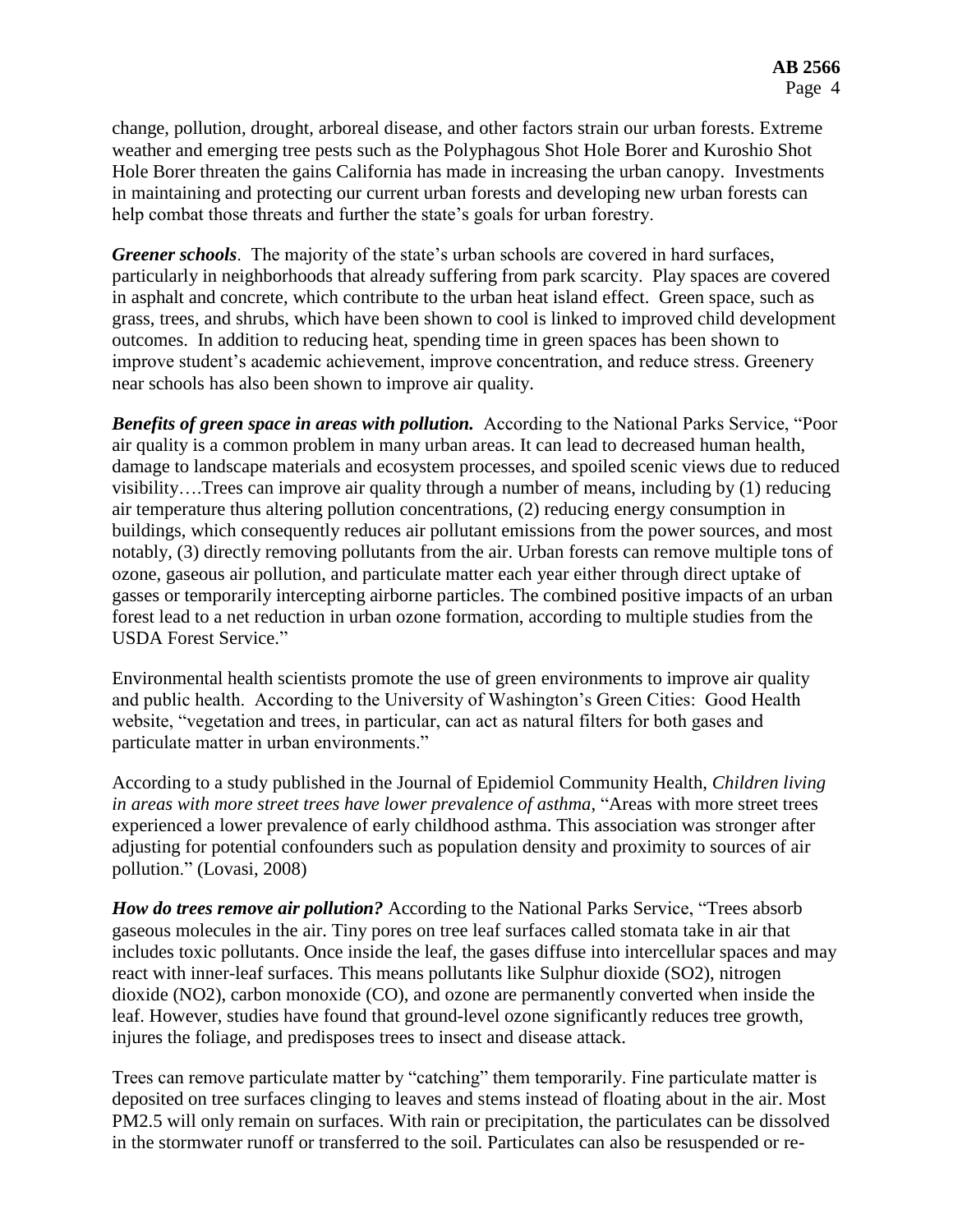change, pollution, drought, arboreal disease, and other factors strain our urban forests. Extreme weather and emerging tree pests such as the Polyphagous Shot Hole Borer and Kuroshio Shot Hole Borer threaten the gains California has made in increasing the urban canopy. Investments in maintaining and protecting our current urban forests and developing new urban forests can help combat those threats and further the state's goals for urban forestry.

*Greener schools*. The majority of the state's urban schools are covered in hard surfaces, particularly in neighborhoods that already suffering from park scarcity. Play spaces are covered in asphalt and concrete, which contribute to the urban heat island effect. Green space, such as grass, trees, and shrubs, which have been shown to cool is linked to improved child development outcomes. In addition to reducing heat, spending time in green spaces has been shown to improve student's academic achievement, improve concentration, and reduce stress. Greenery near schools has also been shown to improve air quality.

*Benefits of green space in areas with pollution.* According to the National Parks Service, "Poor air quality is a common problem in many urban areas. It can lead to decreased human health, damage to landscape materials and ecosystem processes, and spoiled scenic views due to reduced visibility….Trees can improve air quality through a number of means, including by (1) reducing air temperature thus altering pollution concentrations, (2) reducing energy consumption in buildings, which consequently reduces air pollutant emissions from the power sources, and most notably, (3) directly removing pollutants from the air. Urban forests can remove multiple tons of ozone, gaseous air pollution, and particulate matter each year either through direct uptake of gasses or temporarily intercepting airborne particles. The combined positive impacts of an urban forest lead to a net reduction in urban ozone formation, according to multiple studies from the USDA Forest Service."

Environmental health scientists promote the use of green environments to improve air quality and public health. According to the University of Washington's Green Cities: Good Health website, "vegetation and trees, in particular, can act as natural filters for both gases and particulate matter in urban environments."

According to a study published in the Journal of Epidemiol Community Health, *Children living in areas with more street trees have lower prevalence of asthma*, "Areas with more street trees experienced a lower prevalence of early childhood asthma. This association was stronger after adjusting for potential confounders such as population density and proximity to sources of air pollution." (Lovasi, 2008)

*How do trees remove air pollution?* According to the National Parks Service, "Trees absorb gaseous molecules in the air. Tiny pores on tree leaf surfaces called stomata take in air that includes toxic pollutants. Once inside the leaf, the gases diffuse into intercellular spaces and may react with inner-leaf surfaces. This means pollutants like Sulphur dioxide (SO2), nitrogen dioxide (NO2), carbon monoxide (CO), and ozone are permanently converted when inside the leaf. However, studies have found that ground-level ozone significantly reduces tree growth, injures the foliage, and predisposes trees to insect and disease attack.

Trees can remove particulate matter by "catching" them temporarily. Fine particulate matter is deposited on tree surfaces clinging to leaves and stems instead of floating about in the air. Most PM2.5 will only remain on surfaces. With rain or precipitation, the particulates can be dissolved in the stormwater runoff or transferred to the soil. Particulates can also be resuspended or re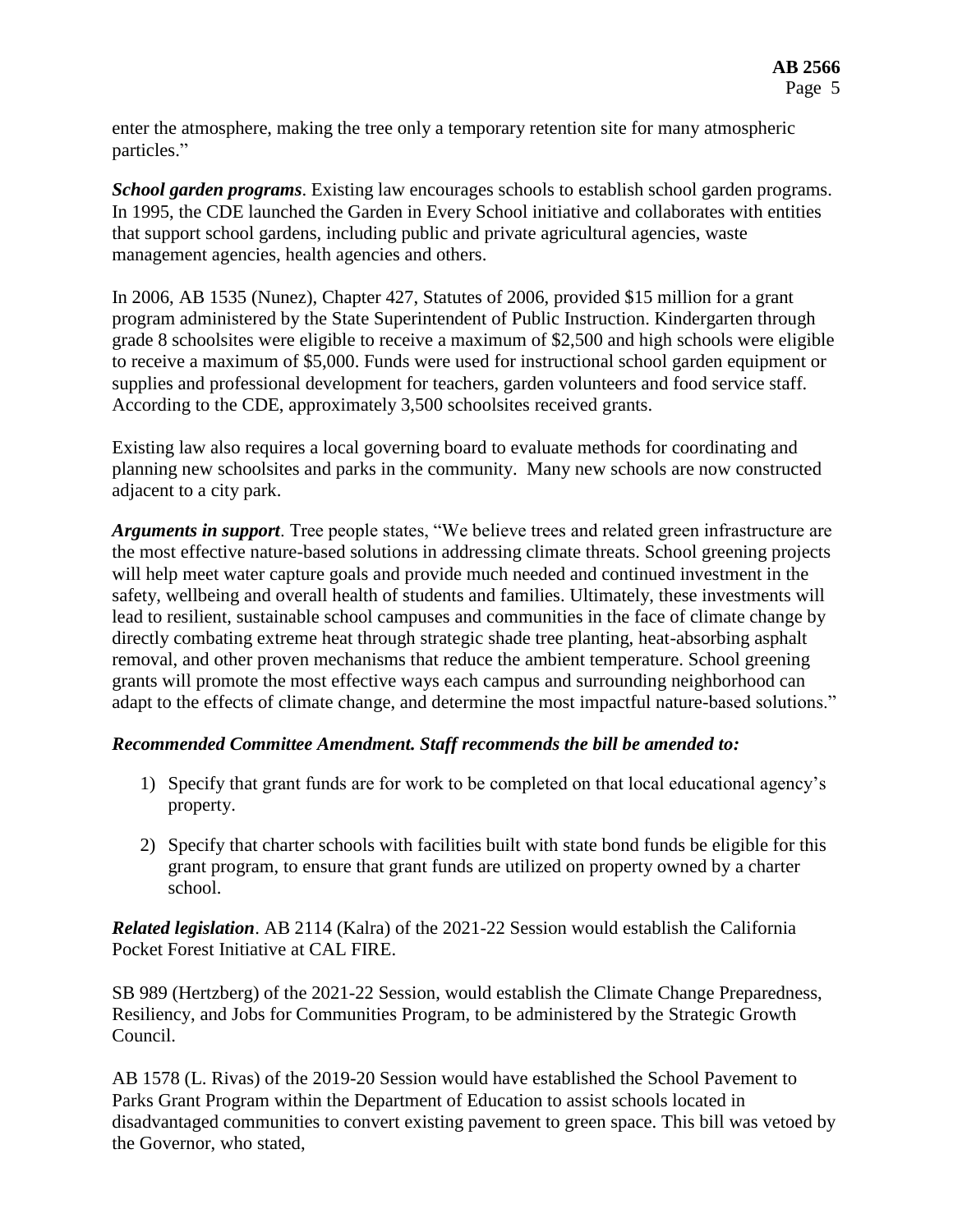enter the atmosphere, making the tree only a temporary retention site for many atmospheric particles."

*School garden programs*. Existing law encourages schools to establish school garden programs. In 1995, the CDE launched the Garden in Every School initiative and collaborates with entities that support school gardens, including public and private agricultural agencies, waste management agencies, health agencies and others.

In 2006, AB 1535 (Nunez), Chapter 427, Statutes of 2006, provided \$15 million for a grant program administered by the State Superintendent of Public Instruction. Kindergarten through grade 8 schoolsites were eligible to receive a maximum of \$2,500 and high schools were eligible to receive a maximum of \$5,000. Funds were used for instructional school garden equipment or supplies and professional development for teachers, garden volunteers and food service staff. According to the CDE, approximately 3,500 schoolsites received grants.

Existing law also requires a local governing board to evaluate methods for coordinating and planning new schoolsites and parks in the community. Many new schools are now constructed adjacent to a city park.

*Arguments in support*. Tree people states, "We believe trees and related green infrastructure are the most effective nature-based solutions in addressing climate threats. School greening projects will help meet water capture goals and provide much needed and continued investment in the safety, wellbeing and overall health of students and families. Ultimately, these investments will lead to resilient, sustainable school campuses and communities in the face of climate change by directly combating extreme heat through strategic shade tree planting, heat-absorbing asphalt removal, and other proven mechanisms that reduce the ambient temperature. School greening grants will promote the most effective ways each campus and surrounding neighborhood can adapt to the effects of climate change, and determine the most impactful nature-based solutions."

## *Recommended Committee Amendment. Staff recommends the bill be amended to:*

- 1) Specify that grant funds are for work to be completed on that local educational agency's property.
- 2) Specify that charter schools with facilities built with state bond funds be eligible for this grant program, to ensure that grant funds are utilized on property owned by a charter school.

*Related legislation*. AB 2114 (Kalra) of the 2021-22 Session would establish the California Pocket Forest Initiative at CAL FIRE.

SB 989 (Hertzberg) of the 2021-22 Session, would establish the Climate Change Preparedness, Resiliency, and Jobs for Communities Program, to be administered by the Strategic Growth Council.

AB 1578 (L. Rivas) of the 2019-20 Session would have established the School Pavement to Parks Grant Program within the Department of Education to assist schools located in disadvantaged communities to convert existing pavement to green space. This bill was vetoed by the Governor, who stated,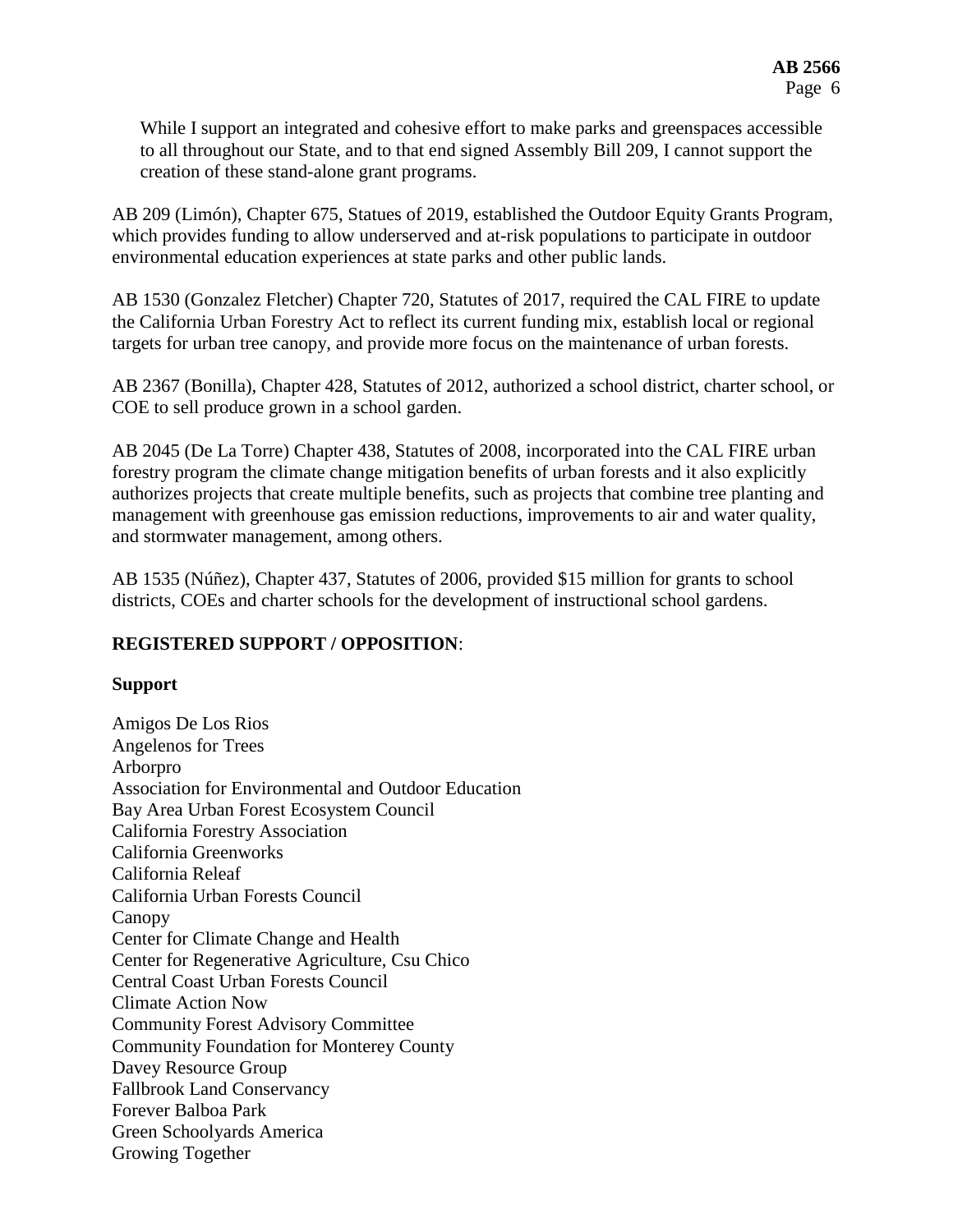While I support an integrated and cohesive effort to make parks and greenspaces accessible to all throughout our State, and to that end signed Assembly Bill 209, I cannot support the creation of these stand-alone grant programs.

AB 209 (Limón), Chapter 675, Statues of 2019, established the Outdoor Equity Grants Program, which provides funding to allow underserved and at-risk populations to participate in outdoor environmental education experiences at state parks and other public lands.

AB 1530 (Gonzalez Fletcher) Chapter 720, Statutes of 2017, required the CAL FIRE to update the California Urban Forestry Act to reflect its current funding mix, establish local or regional targets for urban tree canopy, and provide more focus on the maintenance of urban forests.

AB 2367 (Bonilla), Chapter 428, Statutes of 2012, authorized a school district, charter school, or COE to sell produce grown in a school garden.

AB 2045 (De La Torre) Chapter 438, Statutes of 2008, incorporated into the CAL FIRE urban forestry program the climate change mitigation benefits of urban forests and it also explicitly authorizes projects that create multiple benefits, such as projects that combine tree planting and management with greenhouse gas emission reductions, improvements to air and water quality, and stormwater management, among others.

AB 1535 (Núñez), Chapter 437, Statutes of 2006, provided \$15 million for grants to school districts, COEs and charter schools for the development of instructional school gardens.

## **REGISTERED SUPPORT / OPPOSITION**:

#### **Support**

Amigos De Los Rios Angelenos for Trees Arborpro Association for Environmental and Outdoor Education Bay Area Urban Forest Ecosystem Council California Forestry Association California Greenworks California Releaf California Urban Forests Council Canopy Center for Climate Change and Health Center for Regenerative Agriculture, Csu Chico Central Coast Urban Forests Council Climate Action Now Community Forest Advisory Committee Community Foundation for Monterey County Davey Resource Group Fallbrook Land Conservancy Forever Balboa Park Green Schoolyards America Growing Together